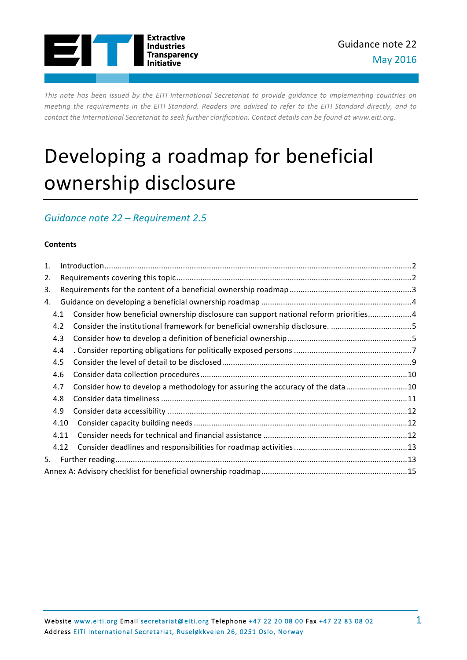# **Extractive** Industries<br>Transparency<br>Initiative

*This note has been issued by the EITI International Secretariat to provide guidance to implementing countries on meeting* the requirements in the EITI Standard. Readers are advised to refer to the EITI Standard directly, and to *contact the International Secretariat to seek further clarification. Contact details can be found at www.eiti.org.* 

# Developing a roadmap for beneficial ownership disclosure

# *Guidance note 22 – Requirement 2.5*

# **Contents**

| 1. |      |                                                                                      |  |
|----|------|--------------------------------------------------------------------------------------|--|
| 2. |      |                                                                                      |  |
| 3. |      |                                                                                      |  |
| 4. |      |                                                                                      |  |
|    | 4.1  | Consider how beneficial ownership disclosure can support national reform priorities4 |  |
|    | 4.2  |                                                                                      |  |
|    | 4.3  |                                                                                      |  |
|    | 4.4  |                                                                                      |  |
|    | 4.5  |                                                                                      |  |
|    | 4.6  |                                                                                      |  |
|    | 4.7  | Consider how to develop a methodology for assuring the accuracy of the data10        |  |
|    | 4.8  |                                                                                      |  |
|    | 4.9  |                                                                                      |  |
|    | 4.10 |                                                                                      |  |
|    | 4.11 |                                                                                      |  |
|    | 4.12 |                                                                                      |  |
| 5. |      |                                                                                      |  |
|    |      |                                                                                      |  |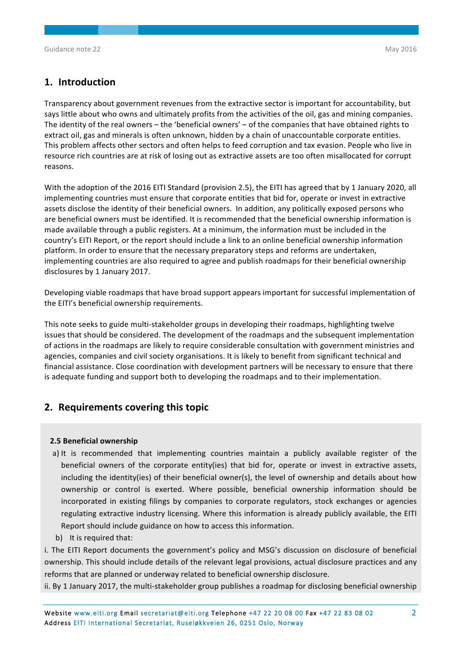# **1. Introduction**

Transparency about government revenues from the extractive sector is important for accountability, but says little about who owns and ultimately profits from the activities of the oil, gas and mining companies. The identity of the real owners – the 'beneficial owners' – of the companies that have obtained rights to extract oil, gas and minerals is often unknown, hidden by a chain of unaccountable corporate entities. This problem affects other sectors and often helps to feed corruption and tax evasion. People who live in resource rich countries are at risk of losing out as extractive assets are too often misallocated for corrupt reasons.

With the adoption of the 2016 EITI Standard (provision 2.5), the EITI has agreed that by 1 January 2020, all implementing countries must ensure that corporate entities that bid for, operate or invest in extractive assets disclose the identity of their beneficial owners. In addition, any politically exposed persons who are beneficial owners must be identified. It is recommended that the beneficial ownership information is made available through a public registers. At a minimum, the information must be included in the country's EITI Report, or the report should include a link to an online beneficial ownership information platform. In order to ensure that the necessary preparatory steps and reforms are undertaken, implementing countries are also required to agree and publish roadmaps for their beneficial ownership disclosures by 1 January 2017.

Developing viable roadmaps that have broad support appears important for successful implementation of the EITI's beneficial ownership requirements.

This note seeks to guide multi-stakeholder groups in developing their roadmaps, highlighting twelve issues that should be considered. The development of the roadmaps and the subsequent implementation of actions in the roadmaps are likely to require considerable consultation with government ministries and agencies, companies and civil society organisations. It is likely to benefit from significant technical and financial assistance. Close coordination with development partners will be necessary to ensure that there is adequate funding and support both to developing the roadmaps and to their implementation.

# **2.** Requirements covering this topic

## **2.5 Beneficial ownership**

- a) It is recommended that implementing countries maintain a publicly available register of the beneficial owners of the corporate entity(ies) that bid for, operate or invest in extractive assets, including the identity(ies) of their beneficial owner(s), the level of ownership and details about how ownership or control is exerted. Where possible, beneficial ownership information should be incorporated in existing filings by companies to corporate regulators, stock exchanges or agencies regulating extractive industry licensing. Where this information is already publicly available, the EITI Report should include guidance on how to access this information.
- b) It is required that:

i. The EITI Report documents the government's policy and MSG's discussion on disclosure of beneficial ownership. This should include details of the relevant legal provisions, actual disclosure practices and any reforms that are planned or underway related to beneficial ownership disclosure.

ii. By 1 January 2017, the multi-stakeholder group publishes a roadmap for disclosing beneficial ownership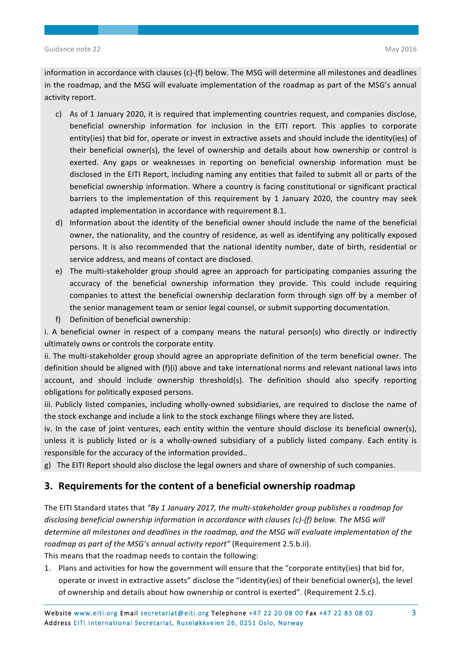information in accordance with clauses (c)-(f) below. The MSG will determine all milestones and deadlines in the roadmap, and the MSG will evaluate implementation of the roadmap as part of the MSG's annual activity report.

- c) As of 1 January 2020, it is required that implementing countries request, and companies disclose, beneficial ownership information for inclusion in the EITI report. This applies to corporate entity(ies) that bid for, operate or invest in extractive assets and should include the identity(ies) of their beneficial owner(s), the level of ownership and details about how ownership or control is exerted. Any gaps or weaknesses in reporting on beneficial ownership information must be disclosed in the EITI Report, including naming any entities that failed to submit all or parts of the beneficial ownership information. Where a country is facing constitutional or significant practical barriers to the implementation of this requirement by 1 January 2020, the country may seek adapted implementation in accordance with requirement 8.1.
- d) Information about the identity of the beneficial owner should include the name of the beneficial owner, the nationality, and the country of residence, as well as identifying any politically exposed persons. It is also recommended that the national identity number, date of birth, residential or service address, and means of contact are disclosed.
- e) The multi-stakeholder group should agree an approach for participating companies assuring the accuracy of the beneficial ownership information they provide. This could include requiring companies to attest the beneficial ownership declaration form through sign off by a member of the senior management team or senior legal counsel, or submit supporting documentation.
- f) Definition of beneficial ownership:

i. A beneficial owner in respect of a company means the natural person(s) who directly or indirectly ultimately owns or controls the corporate entity.

ii. The multi-stakeholder group should agree an appropriate definition of the term beneficial owner. The definition should be aligned with  $(f)(i)$  above and take international norms and relevant national laws into account, and should include ownership threshold(s). The definition should also specify reporting obligations for politically exposed persons.

iii. Publicly listed companies, including wholly-owned subsidiaries, are required to disclose the name of the stock exchange and include a link to the stock exchange filings where they are listed.

iv. In the case of joint ventures, each entity within the venture should disclose its beneficial owner(s), unless it is publicly listed or is a wholly-owned subsidiary of a publicly listed company. Each entity is responsible for the accuracy of the information provided..

g) The EITI Report should also disclose the legal owners and share of ownership of such companies.

# **3.** Requirements for the content of a beneficial ownership roadmap

The EITI Standard states that "By 1 January 2017, the multi-stakeholder group publishes a roadmap for disclosing beneficial ownership information in accordance with clauses (c)-(f) below. The MSG will determine all milestones and deadlines in the roadmap, and the MSG will evaluate implementation of the roadmap as part of the MSG's annual activity report" (Requirement 2.5.b.ii).

This means that the roadmap needs to contain the following:

1. Plans and activities for how the government will ensure that the "corporate entity(ies) that bid for, operate or invest in extractive assets" disclose the "identity(ies) of their beneficial owner(s), the level of ownership and details about how ownership or control is exerted". (Requirement 2.5.c).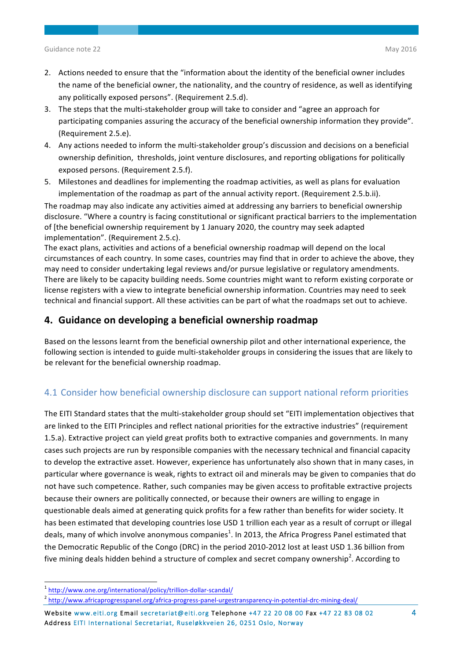- 2. Actions needed to ensure that the "information about the identity of the beneficial owner includes the name of the beneficial owner, the nationality, and the country of residence, as well as identifying any politically exposed persons". (Requirement 2.5.d).
- 3. The steps that the multi-stakeholder group will take to consider and "agree an approach for participating companies assuring the accuracy of the beneficial ownership information they provide". (Requirement 2.5.e).
- 4. Any actions needed to inform the multi-stakeholder group's discussion and decisions on a beneficial ownership definition, thresholds, joint venture disclosures, and reporting obligations for politically exposed persons. (Requirement 2.5.f).
- 5. Milestones and deadlines for implementing the roadmap activities, as well as plans for evaluation implementation of the roadmap as part of the annual activity report. (Requirement 2.5.b.ii).

The roadmap may also indicate any activities aimed at addressing any barriers to beneficial ownership disclosure. "Where a country is facing constitutional or significant practical barriers to the implementation of [the beneficial ownership requirement by 1 January 2020, the country may seek adapted implementation". (Requirement 2.5.c).

The exact plans, activities and actions of a beneficial ownership roadmap will depend on the local circumstances of each country. In some cases, countries may find that in order to achieve the above, they may need to consider undertaking legal reviews and/or pursue legislative or regulatory amendments. There are likely to be capacity building needs. Some countries might want to reform existing corporate or license registers with a view to integrate beneficial ownership information. Countries may need to seek technical and financial support. All these activities can be part of what the roadmaps set out to achieve.

# **4.** Guidance on developing a beneficial ownership roadmap

Based on the lessons learnt from the beneficial ownership pilot and other international experience, the following section is intended to guide multi-stakeholder groups in considering the issues that are likely to be relevant for the beneficial ownership roadmap.

# 4.1 Consider how beneficial ownership disclosure can support national reform priorities

The EITI Standard states that the multi-stakeholder group should set "EITI implementation objectives that are linked to the EITI Principles and reflect national priorities for the extractive industries" (requirement 1.5.a). Extractive project can yield great profits both to extractive companies and governments. In many cases such projects are run by responsible companies with the necessary technical and financial capacity to develop the extractive asset. However, experience has unfortunately also shown that in many cases, in particular where governance is weak, rights to extract oil and minerals may be given to companies that do not have such competence. Rather, such companies may be given access to profitable extractive projects because their owners are politically connected, or because their owners are willing to engage in questionable deals aimed at generating quick profits for a few rather than benefits for wider society. It has been estimated that developing countries lose USD 1 trillion each year as a result of corrupt or illegal deals, many of which involve anonymous companies<sup>1</sup>. In 2013, the Africa Progress Panel estimated that the Democratic Republic of the Congo (DRC) in the period 2010-2012 lost at least USD 1.36 billion from five mining deals hidden behind a structure of complex and secret company ownership<sup>2</sup>. According to

 <sup>1</sup> http://www.one.org/international/policy/trillion-dollar-scandal/

<sup>&</sup>lt;sup>2</sup> http://www.africaprogresspanel.org/africa-progress-panel-urgestransparency-in-potential-drc-mining-deal/

Website www.eiti.org Email secretariat@eiti.org Telephone +47 22 20 08 00 Fax +47 22 83 08 02 4 Address EITI International Secretariat, Ruseløkkveien 26, 0251 Oslo, Norway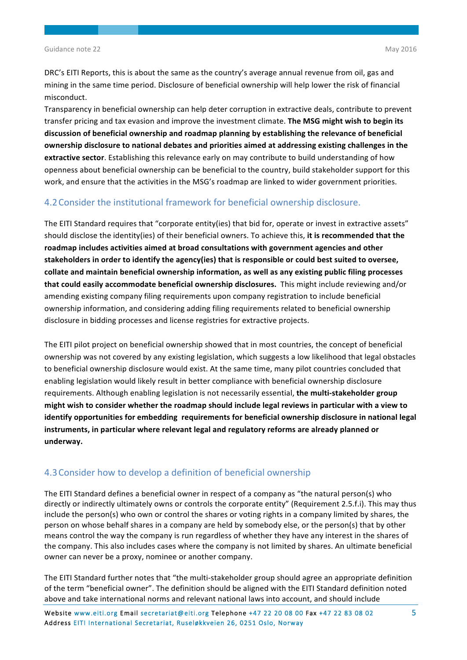DRC's EITI Reports, this is about the same as the country's average annual revenue from oil, gas and mining in the same time period. Disclosure of beneficial ownership will help lower the risk of financial misconduct.

Transparency in beneficial ownership can help deter corruption in extractive deals, contribute to prevent transfer pricing and tax evasion and improve the investment climate. The MSG might wish to begin its discussion of beneficial ownership and roadmap planning by establishing the relevance of beneficial **ownership disclosure to national debates and priorities aimed at addressing existing challenges in the extractive sector**. Establishing this relevance early on may contribute to build understanding of how openness about beneficial ownership can be beneficial to the country, build stakeholder support for this work, and ensure that the activities in the MSG's roadmap are linked to wider government priorities.

## 4.2 Consider the institutional framework for beneficial ownership disclosure.

The EITI Standard requires that "corporate entity(ies) that bid for, operate or invest in extractive assets" should disclose the identity(ies) of their beneficial owners. To achieve this, it is recommended that the roadmap includes activities aimed at broad consultations with government agencies and other stakeholders in order to identify the agency(ies) that is responsible or could best suited to oversee, collate and maintain beneficial ownership information, as well as any existing public filing processes **that could easily accommodate beneficial ownership disclosures.** This might include reviewing and/or amending existing company filing requirements upon company registration to include beneficial ownership information, and considering adding filing requirements related to beneficial ownership disclosure in bidding processes and license registries for extractive projects.

The EITI pilot project on beneficial ownership showed that in most countries, the concept of beneficial ownership was not covered by any existing legislation, which suggests a low likelihood that legal obstacles to beneficial ownership disclosure would exist. At the same time, many pilot countries concluded that enabling legislation would likely result in better compliance with beneficial ownership disclosure requirements. Although enabling legislation is not necessarily essential, the multi-stakeholder group might wish to consider whether the roadmap should include legal reviews in particular with a view to **identify opportunities for embedding requirements for beneficial ownership disclosure in national legal** instruments, in particular where relevant legal and regulatory reforms are already planned or **underway.** 

# 4.3 Consider how to develop a definition of beneficial ownership

The EITI Standard defines a beneficial owner in respect of a company as "the natural person(s) who directly or indirectly ultimately owns or controls the corporate entity" (Requirement 2.5.f.i). This may thus include the person(s) who own or control the shares or voting rights in a company limited by shares, the person on whose behalf shares in a company are held by somebody else, or the person(s) that by other means control the way the company is run regardless of whether they have any interest in the shares of the company. This also includes cases where the company is not limited by shares. An ultimate beneficial owner can never be a proxy, nominee or another company.

The EITI Standard further notes that "the multi-stakeholder group should agree an appropriate definition of the term "beneficial owner". The definition should be aligned with the EITI Standard definition noted above and take international norms and relevant national laws into account, and should include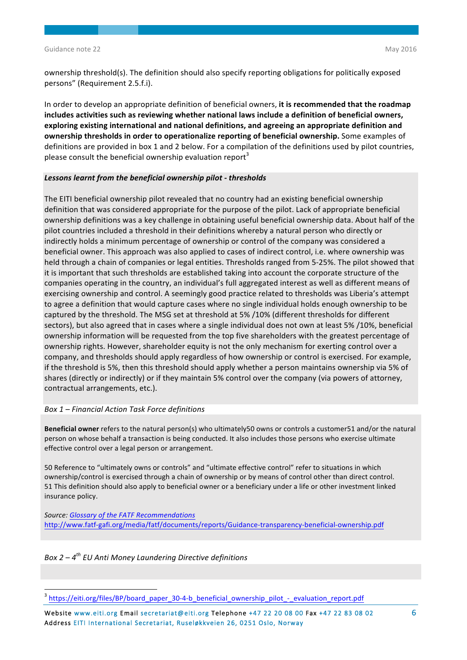#### Guidance note 22 May 2016

ownership threshold(s). The definition should also specify reporting obligations for politically exposed persons" (Requirement 2.5.f.i).

In order to develop an appropriate definition of beneficial owners, it is recommended that the roadmap includes activities such as reviewing whether national laws include a definition of beneficial owners, exploring existing international and national definitions, and agreeing an appropriate definition and **ownership thresholds in order to operationalize reporting of beneficial ownership.** Some examples of definitions are provided in box 1 and 2 below. For a compilation of the definitions used by pilot countries, please consult the beneficial ownership evaluation report<sup>3</sup>

#### *Lessons learnt from the beneficial ownership pilot - thresholds*

The EITI beneficial ownership pilot revealed that no country had an existing beneficial ownership definition that was considered appropriate for the purpose of the pilot. Lack of appropriate beneficial ownership definitions was a key challenge in obtaining useful beneficial ownership data. About half of the pilot countries included a threshold in their definitions whereby a natural person who directly or indirectly holds a minimum percentage of ownership or control of the company was considered a beneficial owner. This approach was also applied to cases of indirect control, i.e. where ownership was held through a chain of companies or legal entities. Thresholds ranged from 5-25%. The pilot showed that it is important that such thresholds are established taking into account the corporate structure of the companies operating in the country, an individual's full aggregated interest as well as different means of exercising ownership and control. A seemingly good practice related to thresholds was Liberia's attempt to agree a definition that would capture cases where no single individual holds enough ownership to be captured by the threshold. The MSG set at threshold at 5% /10% (different thresholds for different sectors), but also agreed that in cases where a single individual does not own at least 5% /10%, beneficial ownership information will be requested from the top five shareholders with the greatest percentage of ownership rights. However, shareholder equity is not the only mechanism for exerting control over a company, and thresholds should apply regardless of how ownership or control is exercised. For example, if the threshold is 5%, then this threshold should apply whether a person maintains ownership via 5% of shares (directly or indirectly) or if they maintain 5% control over the company (via powers of attorney, contractual arrangements, etc.).

#### *Box 1 – Financial Action Task Force definitions*

**Beneficial owner** refers to the natural person(s) who ultimately50 owns or controls a customer51 and/or the natural person on whose behalf a transaction is being conducted. It also includes those persons who exercise ultimate effective control over a legal person or arrangement.

50 Reference to "ultimately owns or controls" and "ultimate effective control" refer to situations in which ownership/control is exercised through a chain of ownership or by means of control other than direct control. 51 This definition should also apply to beneficial owner or a beneficiary under a life or other investment linked insurance policy.

Source: Glossary of the FATF Recommendations http://www.fatf-gafi.org/media/fatf/documents/reports/Guidance-transparency-beneficial-ownership.pdf

*Box 2 – 4th EU Anti Money Laundering Directive definitions*

<u> Andreas Andreas Andreas Andreas Andreas Andreas Andreas Andreas Andreas Andreas Andreas Andreas Andreas Andreas</u>

<sup>3</sup> https://eiti.org/files/BP/board\_paper\_30-4-b\_beneficial\_ownership\_pilot\_-\_evaluation\_report.pdf

Website www.eiti.org Email secretariat@eiti.org Telephone +47 22 20 08 00 Fax +47 22 83 08 02 6 Address EITI International Secretariat, Ruseløkkveien 26, 0251 Oslo, Norway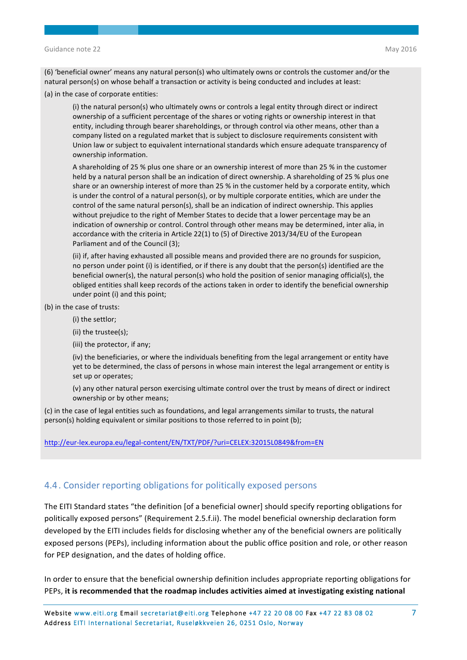(6) 'beneficial owner' means any natural person(s) who ultimately owns or controls the customer and/or the natural person(s) on whose behalf a transaction or activity is being conducted and includes at least:

(a) in the case of corporate entities:

(i) the natural person(s) who ultimately owns or controls a legal entity through direct or indirect ownership of a sufficient percentage of the shares or voting rights or ownership interest in that entity, including through bearer shareholdings, or through control via other means, other than a company listed on a regulated market that is subject to disclosure requirements consistent with Union law or subject to equivalent international standards which ensure adequate transparency of ownership information.

A shareholding of 25 % plus one share or an ownership interest of more than 25 % in the customer held by a natural person shall be an indication of direct ownership. A shareholding of 25 % plus one share or an ownership interest of more than 25 % in the customer held by a corporate entity, which is under the control of a natural person(s), or by multiple corporate entities, which are under the control of the same natural person(s), shall be an indication of indirect ownership. This applies without prejudice to the right of Member States to decide that a lower percentage may be an indication of ownership or control. Control through other means may be determined, inter alia, in accordance with the criteria in Article 22(1) to (5) of Directive 2013/34/EU of the European Parliament and of the Council (3);

(ii) if, after having exhausted all possible means and provided there are no grounds for suspicion, no person under point (i) is identified, or if there is any doubt that the person(s) identified are the beneficial owner(s), the natural person(s) who hold the position of senior managing official(s), the obliged entities shall keep records of the actions taken in order to identify the beneficial ownership under point (i) and this point;

(b) in the case of trusts:

(i) the settlor;

(ii) the trustee(s);

(iii) the protector, if any;

(iv) the beneficiaries, or where the individuals benefiting from the legal arrangement or entity have yet to be determined, the class of persons in whose main interest the legal arrangement or entity is set up or operates;

(v) any other natural person exercising ultimate control over the trust by means of direct or indirect ownership or by other means;

(c) in the case of legal entities such as foundations, and legal arrangements similar to trusts, the natural person(s) holding equivalent or similar positions to those referred to in point (b);

http://eur-lex.europa.eu/legal-content/EN/TXT/PDF/?uri=CELEX:32015L0849&from=EN

# 4.4. Consider reporting obligations for politically exposed persons

The EITI Standard states "the definition [of a beneficial owner] should specify reporting obligations for politically exposed persons" (Requirement 2.5.f.ii). The model beneficial ownership declaration form developed by the EITI includes fields for disclosing whether any of the beneficial owners are politically exposed persons (PEPs), including information about the public office position and role, or other reason for PEP designation, and the dates of holding office.

In order to ensure that the beneficial ownership definition includes appropriate reporting obligations for PEPs, it is recommended that the roadmap includes activities aimed at investigating existing national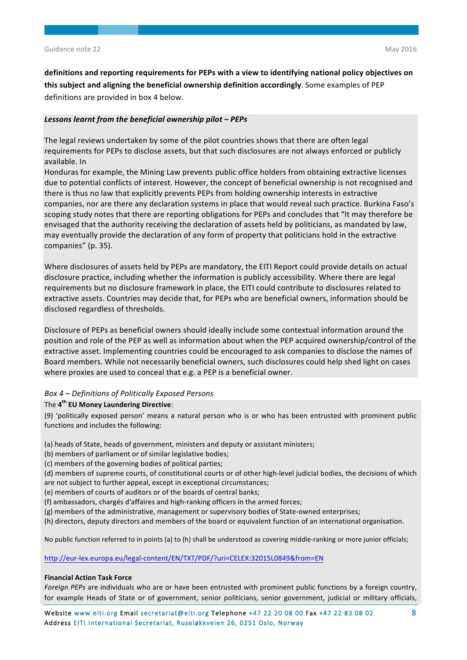definitions and reporting requirements for PEPs with a view to identifying national policy objectives on this subject and aligning the beneficial ownership definition accordingly. Some examples of PEP definitions are provided in box 4 below.

#### *Lessons learnt from the beneficial ownership pilot – PEPs*

The legal reviews undertaken by some of the pilot countries shows that there are often legal requirements for PEPs to disclose assets, but that such disclosures are not always enforced or publicly available. In

Honduras for example, the Mining Law prevents public office holders from obtaining extractive licenses due to potential conflicts of interest. However, the concept of beneficial ownership is not recognised and there is thus no law that explicitly prevents PEPs from holding ownership interests in extractive companies, nor are there any declaration systems in place that would reveal such practice. Burkina Faso's scoping study notes that there are reporting obligations for PEPs and concludes that "It may therefore be envisaged that the authority receiving the declaration of assets held by politicians, as mandated by law, may eventually provide the declaration of any form of property that politicians hold in the extractive companies" (p. 35).

Where disclosures of assets held by PEPs are mandatory, the EITI Report could provide details on actual disclosure practice, including whether the information is publicly accessibility. Where there are legal requirements but no disclosure framework in place, the EITI could contribute to disclosures related to extractive assets. Countries may decide that, for PEPs who are beneficial owners, information should be disclosed regardless of thresholds.

Disclosure of PEPs as beneficial owners should ideally include some contextual information around the position and role of the PEP as well as information about when the PEP acquired ownership/control of the extractive asset. Implementing countries could be encouraged to ask companies to disclose the names of Board members. While not necessarily beneficial owners, such disclosures could help shed light on cases where proxies are used to conceal that e.g. a PEP is a beneficial owner.

#### *Box 4 – Definitions of Politically Exposed Persons*

#### The **4th EU Money Laundering Directive**:

(9) 'politically exposed person' means a natural person who is or who has been entrusted with prominent public functions and includes the following:

(a) heads of State, heads of government, ministers and deputy or assistant ministers;

- (b) members of parliament or of similar legislative bodies;
- (c) members of the governing bodies of political parties;

(d) members of supreme courts, of constitutional courts or of other high-level judicial bodies, the decisions of which are not subject to further appeal, except in exceptional circumstances;

(e) members of courts of auditors or of the boards of central banks;

- (f) ambassadors, chargés d'affaires and high-ranking officers in the armed forces;
- (g) members of the administrative, management or supervisory bodies of State-owned enterprises;
- (h) directors, deputy directors and members of the board or equivalent function of an international organisation.

No public function referred to in points (a) to (h) shall be understood as covering middle-ranking or more junior officials;

#### http://eur-lex.europa.eu/legal-content/EN/TXT/PDF/?uri=CELEX:32015L0849&from=EN

#### **Financial Action Task Force**

*Foreign PEPs* are individuals who are or have been entrusted with prominent public functions by a foreign country, for example Heads of State or of government, senior politicians, senior government, judicial or military officials,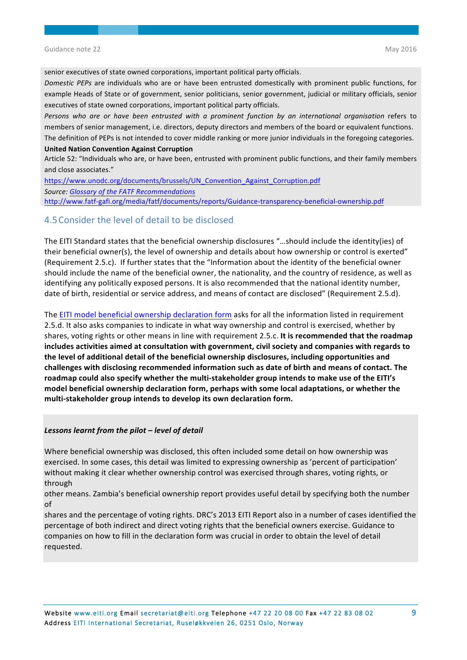senior executives of state owned corporations, important political party officials.

*Domestic PEPs* are individuals who are or have been entrusted domestically with prominent public functions, for example Heads of State or of government, senior politicians, senior government, judicial or military officials, senior executives of state owned corporations, important political party officials.

*Persons* who are or have been entrusted with a prominent function by an international organisation refers to members of senior management, i.e. directors, deputy directors and members of the board or equivalent functions. The definition of PEPs is not intended to cover middle ranking or more junior individuals in the foregoing categories.

#### **United Nation Convention Against Corruption**

Article 52: "Individuals who are, or have been, entrusted with prominent public functions, and their family members and close associates."

https://www.unodc.org/documents/brussels/UN\_Convention\_Against\_Corruption.pdf Source: Glossary of the FATF Recommendations http://www.fatf-gafi.org/media/fatf/documents/reports/Guidance-transparency-beneficial-ownership.pdf

## 4.5 Consider the level of detail to be disclosed

The EITI Standard states that the beneficial ownership disclosures "...should include the identity(ies) of their beneficial owner(s), the level of ownership and details about how ownership or control is exerted" (Requirement 2.5.c). If further states that the "Information about the identity of the beneficial owner should include the name of the beneficial owner, the nationality, and the country of residence, as well as identifying any politically exposed persons. It is also recommended that the national identity number, date of birth, residential or service address, and means of contact are disclosed" (Requirement 2.5.d).

The EITI model beneficial ownership declaration form asks for all the information listed in requirement 2.5.d. It also asks companies to indicate in what way ownership and control is exercised, whether by shares, voting rights or other means in line with requirement 2.5.c. It is recommended that the roadmap includes activities aimed at consultation with government, civil society and companies with regards to the level of additional detail of the beneficial ownership disclosures, including opportunities and challenges with disclosing recommended information such as date of birth and means of contact. The roadmap could also specify whether the multi-stakeholder group intends to make use of the EITI's model beneficial ownership declaration form, perhaps with some local adaptations, or whether the multi-stakeholder group intends to develop its own declaration form.

#### Lessons learnt from the pilot – level of detail

Where beneficial ownership was disclosed, this often included some detail on how ownership was exercised. In some cases, this detail was limited to expressing ownership as 'percent of participation' without making it clear whether ownership control was exercised through shares, voting rights, or through

other means. Zambia's beneficial ownership report provides useful detail by specifying both the number of

shares and the percentage of voting rights. DRC's 2013 EITI Report also in a number of cases identified the percentage of both indirect and direct voting rights that the beneficial owners exercise. Guidance to companies on how to fill in the declaration form was crucial in order to obtain the level of detail requested.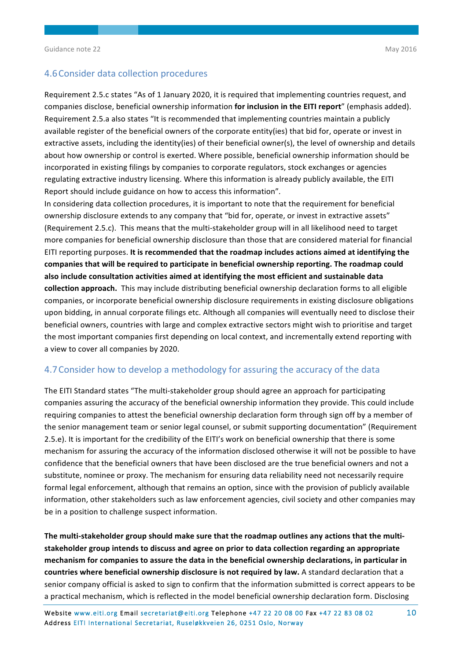## 4.6 Consider data collection procedures

Requirement 2.5.c states "As of 1 January 2020, it is required that implementing countries request, and companies disclose, beneficial ownership information for inclusion in the EITI report" (emphasis added). Requirement 2.5.a also states "It is recommended that implementing countries maintain a publicly available register of the beneficial owners of the corporate entity(ies) that bid for, operate or invest in extractive assets, including the identity(ies) of their beneficial owner(s), the level of ownership and details about how ownership or control is exerted. Where possible, beneficial ownership information should be incorporated in existing filings by companies to corporate regulators, stock exchanges or agencies regulating extractive industry licensing. Where this information is already publicly available, the EITI Report should include guidance on how to access this information".

In considering data collection procedures, it is important to note that the requirement for beneficial ownership disclosure extends to any company that "bid for, operate, or invest in extractive assets" (Requirement 2.5.c). This means that the multi-stakeholder group will in all likelihood need to target more companies for beneficial ownership disclosure than those that are considered material for financial EITI reporting purposes. It is recommended that the roadmap includes actions aimed at identifying the companies that will be required to participate in beneficial ownership reporting. The roadmap could also include consultation activities aimed at identifying the most efficient and sustainable data **collection approach.** This may include distributing beneficial ownership declaration forms to all eligible companies, or incorporate beneficial ownership disclosure requirements in existing disclosure obligations upon bidding, in annual corporate filings etc. Although all companies will eventually need to disclose their beneficial owners, countries with large and complex extractive sectors might wish to prioritise and target the most important companies first depending on local context, and incrementally extend reporting with a view to cover all companies by 2020.

# 4.7 Consider how to develop a methodology for assuring the accuracy of the data

The EITI Standard states "The multi-stakeholder group should agree an approach for participating companies assuring the accuracy of the beneficial ownership information they provide. This could include requiring companies to attest the beneficial ownership declaration form through sign off by a member of the senior management team or senior legal counsel, or submit supporting documentation" (Requirement 2.5.e). It is important for the credibility of the EITI's work on beneficial ownership that there is some mechanism for assuring the accuracy of the information disclosed otherwise it will not be possible to have confidence that the beneficial owners that have been disclosed are the true beneficial owners and not a substitute, nominee or proxy. The mechanism for ensuring data reliability need not necessarily require formal legal enforcement, although that remains an option, since with the provision of publicly available information, other stakeholders such as law enforcement agencies, civil society and other companies may be in a position to challenge suspect information.

The multi-stakeholder group should make sure that the roadmap outlines any actions that the multistakeholder group intends to discuss and agree on prior to data collection regarding an appropriate mechanism for companies to assure the data in the beneficial ownership declarations, in particular in countries where beneficial ownership disclosure is not required by law. A standard declaration that a senior company official is asked to sign to confirm that the information submitted is correct appears to be a practical mechanism, which is reflected in the model beneficial ownership declaration form. Disclosing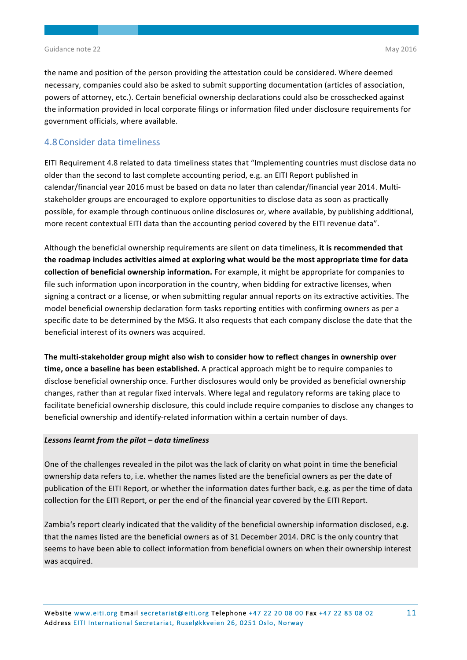#### Guidance note 22 May 2016

the name and position of the person providing the attestation could be considered. Where deemed necessary, companies could also be asked to submit supporting documentation (articles of association, powers of attorney, etc.). Certain beneficial ownership declarations could also be crosschecked against the information provided in local corporate filings or information filed under disclosure requirements for government officials, where available.

# 4.8 Consider data timeliness

EITI Requirement 4.8 related to data timeliness states that "Implementing countries must disclose data no older than the second to last complete accounting period, e.g. an EITI Report published in calendar/financial year 2016 must be based on data no later than calendar/financial year 2014. Multistakeholder groups are encouraged to explore opportunities to disclose data as soon as practically possible, for example through continuous online disclosures or, where available, by publishing additional, more recent contextual EITI data than the accounting period covered by the EITI revenue data".

Although the beneficial ownership requirements are silent on data timeliness, it is recommended that the roadmap includes activities aimed at exploring what would be the most appropriate time for data **collection of beneficial ownership information.** For example, it might be appropriate for companies to file such information upon incorporation in the country, when bidding for extractive licenses, when signing a contract or a license, or when submitting regular annual reports on its extractive activities. The model beneficial ownership declaration form tasks reporting entities with confirming owners as per a specific date to be determined by the MSG. It also requests that each company disclose the date that the beneficial interest of its owners was acquired.

The multi-stakeholder group might also wish to consider how to reflect changes in ownership over **time, once a baseline has been established.** A practical approach might be to require companies to disclose beneficial ownership once. Further disclosures would only be provided as beneficial ownership changes, rather than at regular fixed intervals. Where legal and regulatory reforms are taking place to facilitate beneficial ownership disclosure, this could include require companies to disclose any changes to beneficial ownership and identify-related information within a certain number of days.

## Lessons learnt from the pilot – data timeliness

One of the challenges revealed in the pilot was the lack of clarity on what point in time the beneficial ownership data refers to, i.e. whether the names listed are the beneficial owners as per the date of publication of the EITI Report, or whether the information dates further back, e.g. as per the time of data collection for the EITI Report, or per the end of the financial year covered by the EITI Report.

Zambia's report clearly indicated that the validity of the beneficial ownership information disclosed, e.g. that the names listed are the beneficial owners as of 31 December 2014. DRC is the only country that seems to have been able to collect information from beneficial owners on when their ownership interest was acquired.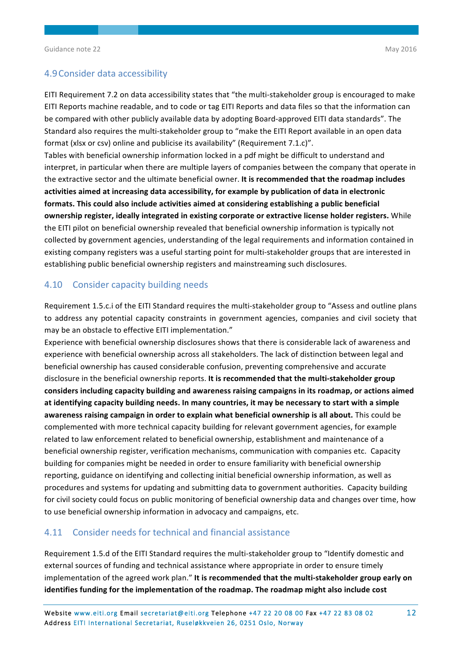## 4.9 Consider data accessibility

EITI Requirement 7.2 on data accessibility states that "the multi-stakeholder group is encouraged to make EITI Reports machine readable, and to code or tag EITI Reports and data files so that the information can be compared with other publicly available data by adopting Board-approved EITI data standards". The Standard also requires the multi-stakeholder group to "make the EITI Report available in an open data format (xlsx or csv) online and publicise its availability" (Requirement 7.1.c)".

Tables with beneficial ownership information locked in a pdf might be difficult to understand and interpret, in particular when there are multiple layers of companies between the company that operate in the extractive sector and the ultimate beneficial owner. It is recommended that the roadmap includes activities aimed at increasing data accessibility, for example by publication of data in electronic formats. This could also include activities aimed at considering establishing a public beneficial **ownership register, ideally integrated in existing corporate or extractive license holder registers.** While the EITI pilot on beneficial ownership revealed that beneficial ownership information is typically not collected by government agencies, understanding of the legal requirements and information contained in existing company registers was a useful starting point for multi-stakeholder groups that are interested in establishing public beneficial ownership registers and mainstreaming such disclosures.

## 4.10 Consider capacity building needs

Requirement 1.5.c.i of the EITI Standard requires the multi-stakeholder group to "Assess and outline plans to address any potential capacity constraints in government agencies, companies and civil society that may be an obstacle to effective EITI implementation."

Experience with beneficial ownership disclosures shows that there is considerable lack of awareness and experience with beneficial ownership across all stakeholders. The lack of distinction between legal and beneficial ownership has caused considerable confusion, preventing comprehensive and accurate disclosure in the beneficial ownership reports. It is recommended that the multi-stakeholder group considers including capacity building and awareness raising campaigns in its roadmap, or actions aimed at identifying capacity building needs. In many countries, it may be necessary to start with a simple awareness raising campaign in order to explain what beneficial ownership is all about. This could be complemented with more technical capacity building for relevant government agencies, for example related to law enforcement related to beneficial ownership, establishment and maintenance of a beneficial ownership register, verification mechanisms, communication with companies etc. Capacity building for companies might be needed in order to ensure familiarity with beneficial ownership reporting, guidance on identifying and collecting initial beneficial ownership information, as well as procedures and systems for updating and submitting data to government authorities. Capacity building for civil society could focus on public monitoring of beneficial ownership data and changes over time, how to use beneficial ownership information in advocacy and campaigns, etc.

# 4.11 Consider needs for technical and financial assistance

Requirement 1.5.d of the EITI Standard requires the multi-stakeholder group to "Identify domestic and external sources of funding and technical assistance where appropriate in order to ensure timely implementation of the agreed work plan." It is recommended that the multi-stakeholder group early on identifies funding for the implementation of the roadmap. The roadmap might also include cost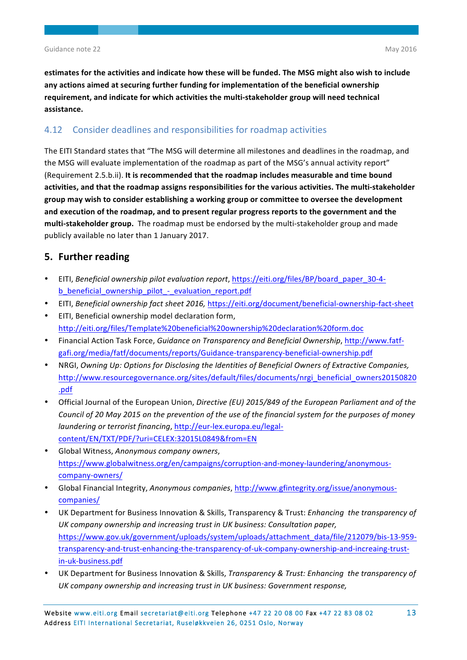estimates for the activities and indicate how these will be funded. The MSG might also wish to include any actions aimed at securing further funding for implementation of the beneficial ownership requirement, and indicate for which activities the multi-stakeholder group will need technical **assistance.** 

# 4.12 Consider deadlines and responsibilities for roadmap activities

The EITI Standard states that "The MSG will determine all milestones and deadlines in the roadmap, and the MSG will evaluate implementation of the roadmap as part of the MSG's annual activity report" (Requirement 2.5.b.ii). It is recommended that the roadmap includes measurable and time bound activities, and that the roadmap assigns responsibilities for the various activities. The multi-stakeholder group may wish to consider establishing a working group or committee to oversee the development and execution of the roadmap, and to present regular progress reports to the government and the multi-stakeholder group. The roadmap must be endorsed by the multi-stakeholder group and made publicly available no later than 1 January 2017.

# **5. Further reading**

- EITI, Beneficial ownership pilot evaluation report, https://eiti.org/files/BP/board\_paper\_30-4b\_beneficial\_ownership\_pilot\_-\_evaluation\_report.pdf
- EITI, Beneficial ownership fact sheet 2016, https://eiti.org/document/beneficial-ownership-fact-sheet
- EITI, Beneficial ownership model declaration form, http://eiti.org/files/Template%20beneficial%20ownership%20declaration%20form.doc
- Financial Action Task Force, *Guidance on Transparency and Beneficial Ownership*, http://www.fatfgafi.org/media/fatf/documents/reports/Guidance-transparency-beneficial-ownership.pdf
- NRGI, *Owning Up: Options for Disclosing the Identities of Beneficial Owners of Extractive Companies,* http://www.resourcegovernance.org/sites/default/files/documents/nrgi\_beneficial\_owners20150820 .pdf
- Official Journal of the European Union, *Directive (EU) 2015/849 of the European Parliament and of the Council* of 20 May 2015 on the prevention of the use of the financial system for the purposes of money *laundering or terrorist financing, http://eur-lex.europa.eu/legal*content/EN/TXT/PDF/?uri=CELEX:32015L0849&from=EN
- Global Witness, *Anonymous company owners*, https://www.globalwitness.org/en/campaigns/corruption-and-money-laundering/anonymouscompany-owners/
- Global Financial Integrity, *Anonymous companies*, http://www.gfintegrity.org/issue/anonymouscompanies/
- UK Department for Business Innovation & Skills, Transparency & Trust: *Enhancing the transparency of* UK company ownership and increasing trust in UK business: Consultation paper, https://www.gov.uk/government/uploads/system/uploads/attachment\_data/file/212079/bis-13-959 transparency-and-trust-enhancing-the-transparency-of-uk-company-ownership-and-increaing-trustin-uk-business.pdf
- UK Department for Business Innovation & Skills, *Transparency & Trust: Enhancing the transparency of* UK company ownership and increasing trust in UK business: Government response,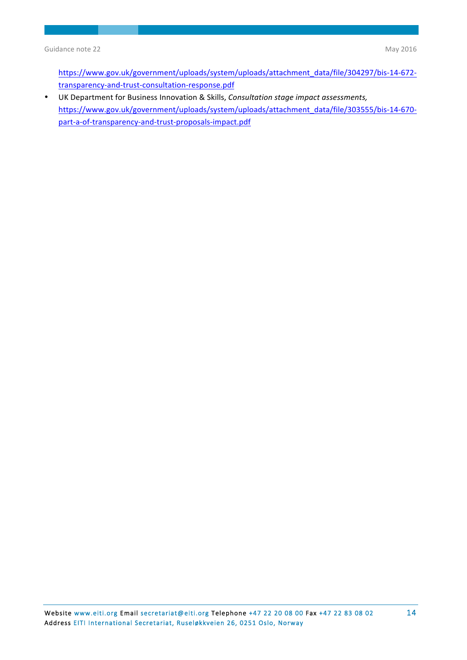Guidance note 22 May 2016

https://www.gov.uk/government/uploads/system/uploads/attachment\_data/file/304297/bis-14-672 transparency-and-trust-consultation-response.pdf

• UK Department for Business Innovation & Skills, *Consultation stage impact assessments*, https://www.gov.uk/government/uploads/system/uploads/attachment\_data/file/303555/bis-14-670 part-a-of-transparency-and-trust-proposals-impact.pdf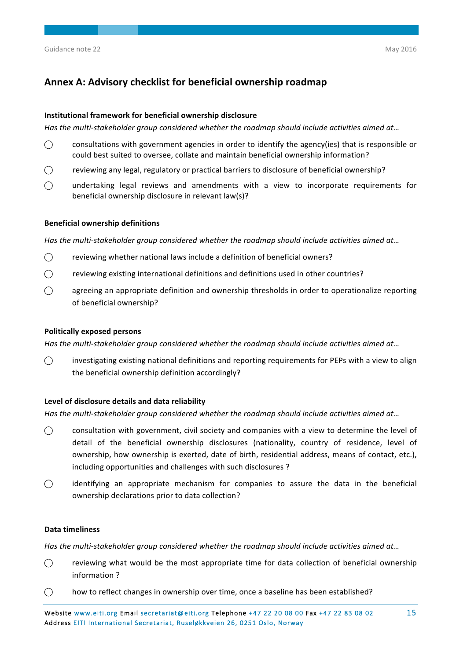# Annex A: Advisory checklist for beneficial ownership roadmap

#### **Institutional framework for beneficial ownership disclosure**

Has the multi-stakeholder aroup considered whether the roadmap should include activities aimed at...

- $\bigcirc$  consultations with government agencies in order to identify the agency(ies) that is responsible or could best suited to oversee, collate and maintain beneficial ownership information?
- $\bigcirc$  reviewing any legal, regulatory or practical barriers to disclosure of beneficial ownership?
- $\bigcirc$  undertaking legal reviews and amendments with a view to incorporate requirements for beneficial ownership disclosure in relevant law(s)?

#### **Beneficial ownership definitions**

Has the multi-stakeholder group considered whether the roadmap should include activities aimed at...

- $\bigcap$  reviewing whether national laws include a definition of beneficial owners?
- $\bigcirc$  reviewing existing international definitions and definitions used in other countries?
- $\bigcirc$  agreeing an appropriate definition and ownership thresholds in order to operationalize reporting of beneficial ownership?

#### **Politically exposed persons**

Has the multi-stakeholder group considered whether the roadmap should include activities aimed at...

 $\bigcirc$  investigating existing national definitions and reporting requirements for PEPs with a view to align the beneficial ownership definition accordingly?

#### Level of disclosure details and data reliability

Has the multi-stakeholder group considered whether the roadmap should include activities aimed at...

- $\bigcirc$  consultation with government, civil society and companies with a view to determine the level of detail of the beneficial ownership disclosures (nationality, country of residence, level of ownership, how ownership is exerted, date of birth, residential address, means of contact, etc.), including opportunities and challenges with such disclosures?
- $\bigcirc$  identifying an appropriate mechanism for companies to assure the data in the beneficial ownership declarations prior to data collection?

#### **Data timeliness**

Has the multi-stakeholder group considered whether the roadmap should include activities aimed at...

- $\bigcirc$  reviewing what would be the most appropriate time for data collection of beneficial ownership information ?
- $\bigcirc$  how to reflect changes in ownership over time, once a baseline has been established?